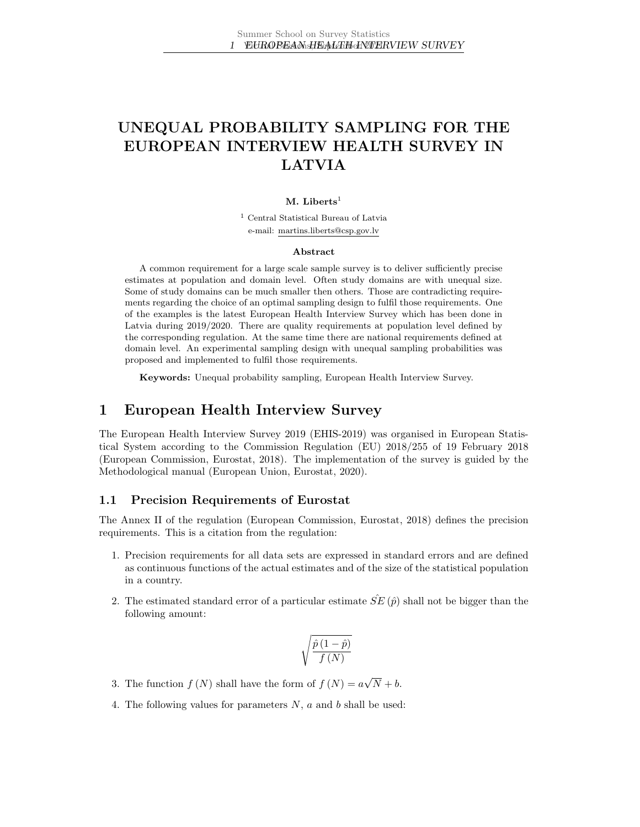# UNEQUAL PROBABILITY SAMPLING FOR THE EUROPEAN INTERVIEW HEALTH SURVEY IN LATVIA

#### M. Liberts<sup>1</sup>

<sup>1</sup> Central Statistical Bureau of Latvia e-mail: martins.liberts@csp.gov.lv

#### Abstract

A common requirement for a large scale sample survey is to deliver sufficiently precise estimates at population and domain level. Often study domains are with unequal size. Some of study domains can be much smaller then others. Those are contradicting requirements regarding the choice of an optimal sampling design to fulfil those requirements. One of the examples is the latest European Health Interview Survey which has been done in Latvia during 2019/2020. There are quality requirements at population level defined by the corresponding regulation. At the same time there are national requirements defined at domain level. An experimental sampling design with unequal sampling probabilities was proposed and implemented to fulfil those requirements.

Keywords: Unequal probability sampling, European Health Interview Survey.

### 1 European Health Interview Survey

The European Health Interview Survey 2019 (EHIS-2019) was organised in European Statistical System according to the Commission Regulation (EU) 2018/255 of 19 February 2018 [\(European Commission, Eurostat, 2018\)](#page-9-0). The implementation of the survey is guided by the Methodological manual [\(European Union, Eurostat, 2020\)](#page-9-1).

#### 1.1 Precision Requirements of Eurostat

The Annex II of the regulation [\(European Commission, Eurostat, 2018\)](#page-9-0) defines the precision requirements. This is a citation from the regulation:

- 1. Precision requirements for all data sets are expressed in standard errors and are defined as continuous functions of the actual estimates and of the size of the statistical population in a country.
- 2. The estimated standard error of a particular estimate  $SE(\hat{p})$  shall not be bigger than the following amount:

$$
\sqrt{\frac{\hat{p}\left(1-\hat{p}\right)}{f\left(N\right)}}
$$

- 3. The function  $f(N)$  shall have the form of  $f(N) = a$ √  $N + b$ .
- 4. The following values for parameters  $N$ ,  $a$  and  $b$  shall be used: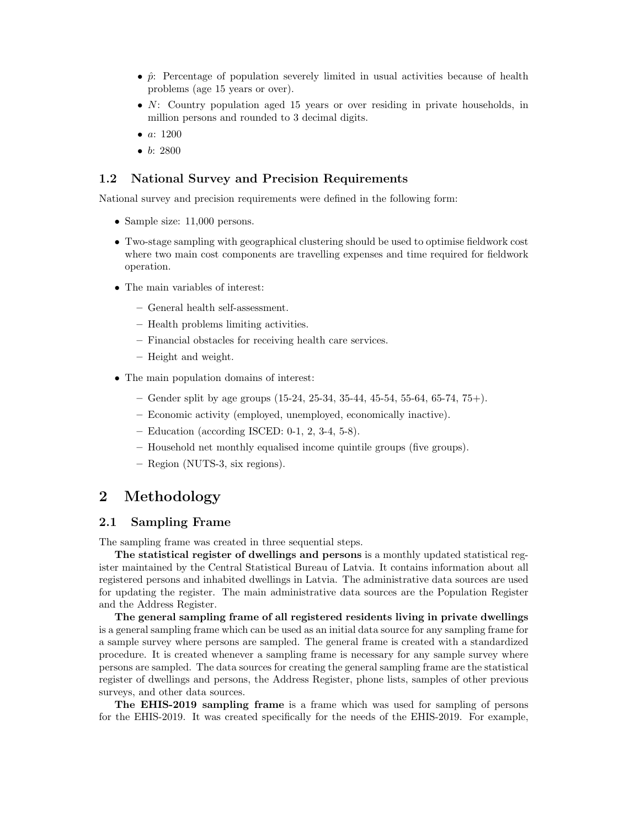- $\hat{p}$ : Percentage of population severely limited in usual activities because of health problems (age 15 years or over).
- N: Country population aged 15 years or over residing in private households, in million persons and rounded to 3 decimal digits.
- $a: 1200$
- $b: 2800$

#### 1.2 National Survey and Precision Requirements

National survey and precision requirements were defined in the following form:

- Sample size: 11,000 persons.
- Two-stage sampling with geographical clustering should be used to optimise fieldwork cost where two main cost components are travelling expenses and time required for fieldwork operation.
- The main variables of interest:
	- General health self-assessment.
	- Health problems limiting activities.
	- Financial obstacles for receiving health care services.
	- Height and weight.
- The main population domains of interest:
	- Gender split by age groups  $(15-24, 25-34, 35-44, 45-54, 55-64, 65-74, 75+)$ .
	- Economic activity (employed, unemployed, economically inactive).
	- Education (according ISCED: 0-1, 2, 3-4, 5-8).
	- Household net monthly equalised income quintile groups (five groups).
	- Region (NUTS-3, six regions).

### 2 Methodology

#### 2.1 Sampling Frame

The sampling frame was created in three sequential steps.

The statistical register of dwellings and persons is a monthly updated statistical register maintained by the Central Statistical Bureau of Latvia. It contains information about all registered persons and inhabited dwellings in Latvia. The administrative data sources are used for updating the register. The main administrative data sources are the Population Register and the Address Register.

The general sampling frame of all registered residents living in private dwellings is a general sampling frame which can be used as an initial data source for any sampling frame for a sample survey where persons are sampled. The general frame is created with a standardized procedure. It is created whenever a sampling frame is necessary for any sample survey where persons are sampled. The data sources for creating the general sampling frame are the statistical register of dwellings and persons, the Address Register, phone lists, samples of other previous surveys, and other data sources.

The EHIS-2019 sampling frame is a frame which was used for sampling of persons for the EHIS-2019. It was created specifically for the needs of the EHIS-2019. For example,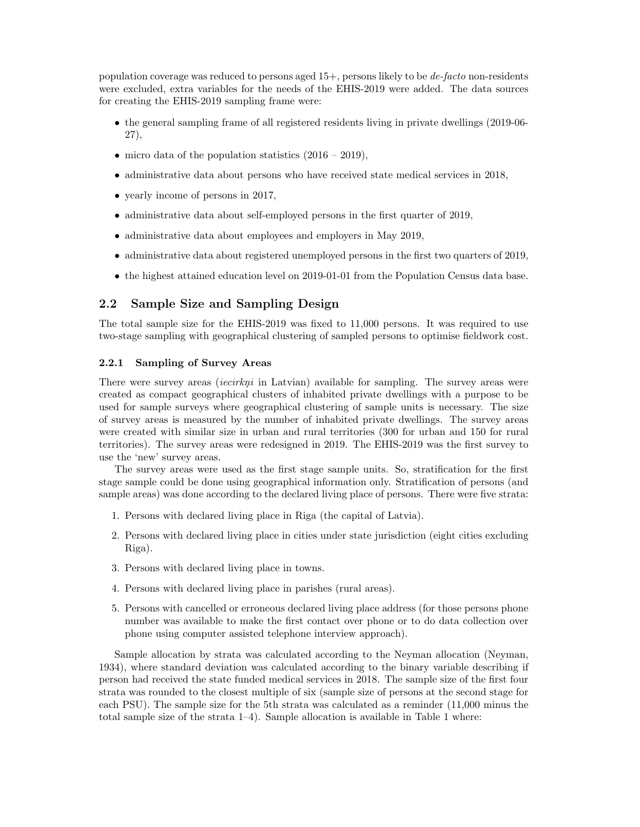population coverage was reduced to persons aged 15+, persons likely to be de-facto non-residents were excluded, extra variables for the needs of the EHIS-2019 were added. The data sources for creating the EHIS-2019 sampling frame were:

- the general sampling frame of all registered residents living in private dwellings (2019-06- 27),
- micro data of the population statistics  $(2016 2019)$ ,
- administrative data about persons who have received state medical services in 2018,
- yearly income of persons in 2017,
- administrative data about self-employed persons in the first quarter of 2019,
- administrative data about employees and employers in May 2019,
- administrative data about registered unemployed persons in the first two quarters of 2019,
- the highest attained education level on 2019-01-01 from the Population Census data base.

### 2.2 Sample Size and Sampling Design

The total sample size for the EHIS-2019 was fixed to 11,000 persons. It was required to use two-stage sampling with geographical clustering of sampled persons to optimise fieldwork cost.

#### 2.2.1 Sampling of Survey Areas

There were survey areas *(iecirkni* in Latvian) available for sampling. The survey areas were created as compact geographical clusters of inhabited private dwellings with a purpose to be used for sample surveys where geographical clustering of sample units is necessary. The size of survey areas is measured by the number of inhabited private dwellings. The survey areas were created with similar size in urban and rural territories (300 for urban and 150 for rural territories). The survey areas were redesigned in 2019. The EHIS-2019 was the first survey to use the 'new' survey areas.

The survey areas were used as the first stage sample units. So, stratification for the first stage sample could be done using geographical information only. Stratification of persons (and sample areas) was done according to the declared living place of persons. There were five strata:

- 1. Persons with declared living place in Riga (the capital of Latvia).
- 2. Persons with declared living place in cities under state jurisdiction (eight cities excluding Riga).
- 3. Persons with declared living place in towns.
- 4. Persons with declared living place in parishes (rural areas).
- 5. Persons with cancelled or erroneous declared living place address (for those persons phone number was available to make the first contact over phone or to do data collection over phone using computer assisted telephone interview approach).

Sample allocation by strata was calculated according to the Neyman allocation [\(Neyman,](#page-9-2) [1934\)](#page-9-2), where standard deviation was calculated according to the binary variable describing if person had received the state funded medical services in 2018. The sample size of the first four strata was rounded to the closest multiple of six (sample size of persons at the second stage for each PSU). The sample size for the 5th strata was calculated as a reminder (11,000 minus the total sample size of the strata 1–4). Sample allocation is available in Table [1](#page-3-0) where: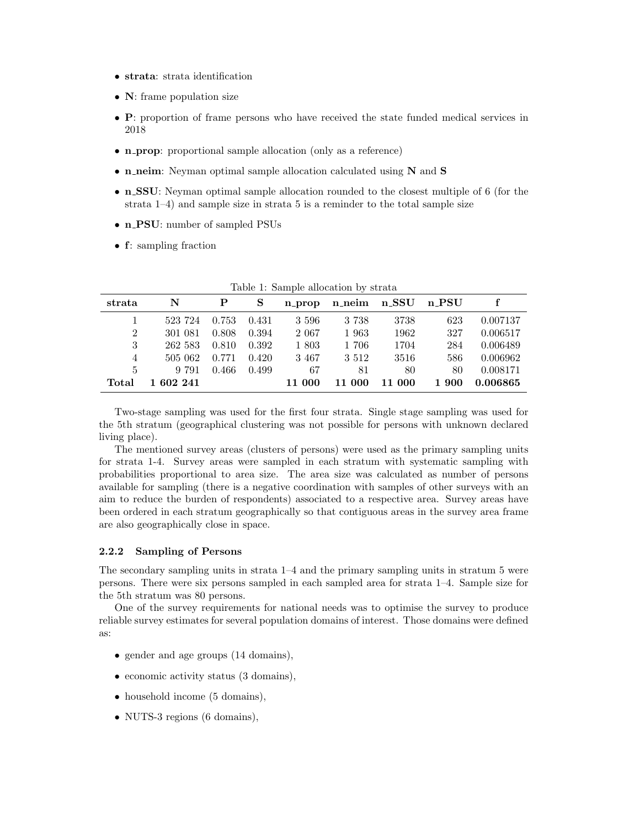- strata: strata identification
- **N**: frame population size
- P: proportion of frame persons who have received the state funded medical services in 2018
- **n\_prop**: proportional sample allocation (only as a reference)
- **n\_neim**: Neyman optimal sample allocation calculated using N and S
- n SSU: Neyman optimal sample allocation rounded to the closest multiple of 6 (for the strata 1–4) and sample size in strata 5 is a reminder to the total sample size
- n\_PSU: number of sampled PSUs
- f: sampling fraction

| strata         | N         |       | S     |         | n_prop n_neim n_SSU n_PSU |        |       |          |
|----------------|-----------|-------|-------|---------|---------------------------|--------|-------|----------|
|                | 523 724   | 0.753 | 0.431 | 3 5 9 6 | 3 7 3 8                   | 3738   | 623   | 0.007137 |
| $\overline{2}$ | 301 081   | 0.808 | 0.394 | 2 0 6 7 | 1 963                     | 1962   | 327   | 0.006517 |
| 3              | 262 583   | 0.810 | 0.392 | 1 803   | 1 706                     | 1704   | 284   | 0.006489 |
| 4              | 505 062   | 0.771 | 0.420 | 3 4 6 7 | 3 5 1 2                   | 3516   | 586   | 0.006962 |
| 5              | 9 791     | 0.466 | 0.499 | 67      | 81                        | 80     | 80    | 0.008171 |
| Total          | 1 602 241 |       |       | 11 000  | 11 000                    | 11 000 | 1 900 | 0.006865 |

<span id="page-3-0"></span>

|  |  | Table 1: Sample allocation by strata |  |  |
|--|--|--------------------------------------|--|--|
|--|--|--------------------------------------|--|--|

Two-stage sampling was used for the first four strata. Single stage sampling was used for the 5th stratum (geographical clustering was not possible for persons with unknown declared living place).

The mentioned survey areas (clusters of persons) were used as the primary sampling units for strata 1-4. Survey areas were sampled in each stratum with systematic sampling with probabilities proportional to area size. The area size was calculated as number of persons available for sampling (there is a negative coordination with samples of other surveys with an aim to reduce the burden of respondents) associated to a respective area. Survey areas have been ordered in each stratum geographically so that contiguous areas in the survey area frame are also geographically close in space.

#### 2.2.2 Sampling of Persons

The secondary sampling units in strata 1–4 and the primary sampling units in stratum 5 were persons. There were six persons sampled in each sampled area for strata 1–4. Sample size for the 5th stratum was 80 persons.

One of the survey requirements for national needs was to optimise the survey to produce reliable survey estimates for several population domains of interest. Those domains were defined as:

- gender and age groups (14 domains),
- economic activity status (3 domains),
- household income (5 domains),
- NUTS-3 regions (6 domains),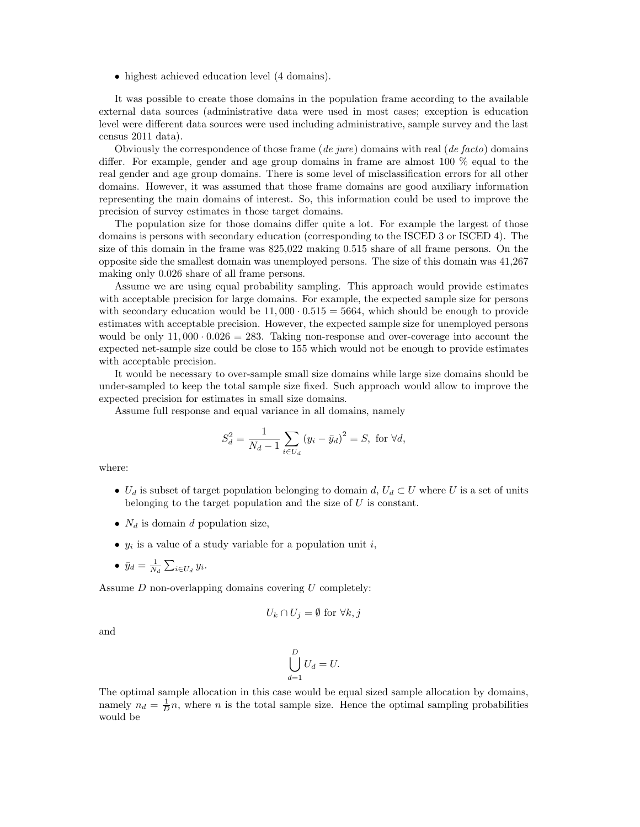• highest achieved education level (4 domains).

It was possible to create those domains in the population frame according to the available external data sources (administrative data were used in most cases; exception is education level were different data sources were used including administrative, sample survey and the last census 2011 data).

Obviously the correspondence of those frame  $(de\ jure)$  domains with real  $(de\ facto)$  domains differ. For example, gender and age group domains in frame are almost 100 % equal to the real gender and age group domains. There is some level of misclassification errors for all other domains. However, it was assumed that those frame domains are good auxiliary information representing the main domains of interest. So, this information could be used to improve the precision of survey estimates in those target domains.

The population size for those domains differ quite a lot. For example the largest of those domains is persons with secondary education (corresponding to the ISCED 3 or ISCED 4). The size of this domain in the frame was 825,022 making 0.515 share of all frame persons. On the opposite side the smallest domain was unemployed persons. The size of this domain was 41,267 making only 0.026 share of all frame persons.

Assume we are using equal probability sampling. This approach would provide estimates with acceptable precision for large domains. For example, the expected sample size for persons with secondary education would be  $11,000 \cdot 0.515 = 5664$ , which should be enough to provide estimates with acceptable precision. However, the expected sample size for unemployed persons would be only  $11,000 \cdot 0.026 = 283$ . Taking non-response and over-coverage into account the expected net-sample size could be close to 155 which would not be enough to provide estimates with acceptable precision.

It would be necessary to over-sample small size domains while large size domains should be under-sampled to keep the total sample size fixed. Such approach would allow to improve the expected precision for estimates in small size domains.

Assume full response and equal variance in all domains, namely

$$
S_d^2 = \frac{1}{N_d - 1} \sum_{i \in U_d} (y_i - \bar{y}_d)^2 = S, \text{ for } \forall d,
$$

where:

- $U_d$  is subset of target population belonging to domain d,  $U_d \subset U$  where U is a set of units belonging to the target population and the size of U is constant.
- $N_d$  is domain d population size,
- $y_i$  is a value of a study variable for a population unit i,
- $\bar{y}_d = \frac{1}{N_d} \sum_{i \in U_d} y_i.$

Assume D non-overlapping domains covering U completely:

$$
U_k \cap U_j = \emptyset \text{ for } \forall k, j
$$

and

$$
\bigcup_{d=1}^D U_d = U.
$$

The optimal sample allocation in this case would be equal sized sample allocation by domains, namely  $n_d = \frac{1}{D}n$ , where n is the total sample size. Hence the optimal sampling probabilities would be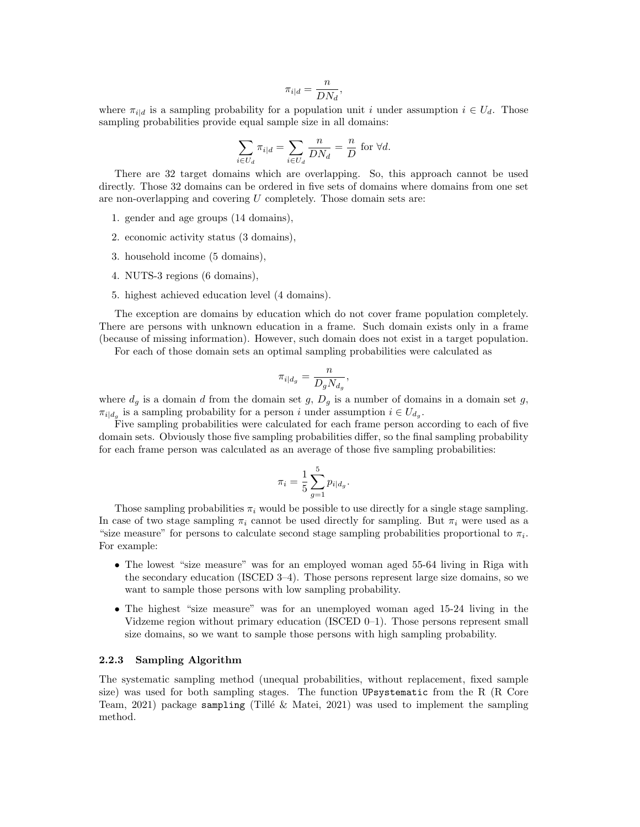$$
\pi_{i|d} = \frac{n}{DN_d},
$$

where  $\pi_{id}$  is a sampling probability for a population unit i under assumption  $i \in U_d$ . Those sampling probabilities provide equal sample size in all domains:

$$
\sum_{i \in U_d} \pi_{i|d} = \sum_{i \in U_d} \frac{n}{DN_d} = \frac{n}{D}
$$
 for  $\forall d$ .

There are 32 target domains which are overlapping. So, this approach cannot be used directly. Those 32 domains can be ordered in five sets of domains where domains from one set are non-overlapping and covering U completely. Those domain sets are:

- 1. gender and age groups (14 domains),
- 2. economic activity status (3 domains),
- 3. household income (5 domains),
- 4. NUTS-3 regions (6 domains),
- 5. highest achieved education level (4 domains).

The exception are domains by education which do not cover frame population completely. There are persons with unknown education in a frame. Such domain exists only in a frame (because of missing information). However, such domain does not exist in a target population.

For each of those domain sets an optimal sampling probabilities were calculated as

$$
\pi_{i|d_g} = \frac{n}{D_g N_{d_g}},
$$

where  $d_g$  is a domain d from the domain set g,  $D_g$  is a number of domains in a domain set g,  $\pi_{i|d_g}$  is a sampling probability for a person i under assumption  $i \in U_{d_g}$ .

Five sampling probabilities were calculated for each frame person according to each of five domain sets. Obviously those five sampling probabilities differ, so the final sampling probability for each frame person was calculated as an average of those five sampling probabilities:

$$
\pi_i = \frac{1}{5} \sum_{g=1}^{5} p_{i|d_g}.
$$

Those sampling probabilities  $\pi_i$  would be possible to use directly for a single stage sampling. In case of two stage sampling  $\pi_i$  cannot be used directly for sampling. But  $\pi_i$  were used as a "size measure" for persons to calculate second stage sampling probabilities proportional to  $\pi_i$ . For example:

- The lowest "size measure" was for an employed woman aged 55-64 living in Riga with the secondary education (ISCED 3–4). Those persons represent large size domains, so we want to sample those persons with low sampling probability.
- The highest "size measure" was for an unemployed woman aged 15-24 living in the Vidzeme region without primary education (ISCED 0–1). Those persons represent small size domains, so we want to sample those persons with high sampling probability.

#### 2.2.3 Sampling Algorithm

The systematic sampling method (unequal probabilities, without replacement, fixed sample size) was used for both sampling stages. The function UPsystematic from the R [\(R Core](#page-9-3) Team,  $2021$ ) package sampling (Tillé & Matei, 2021) was used to implement the sampling method.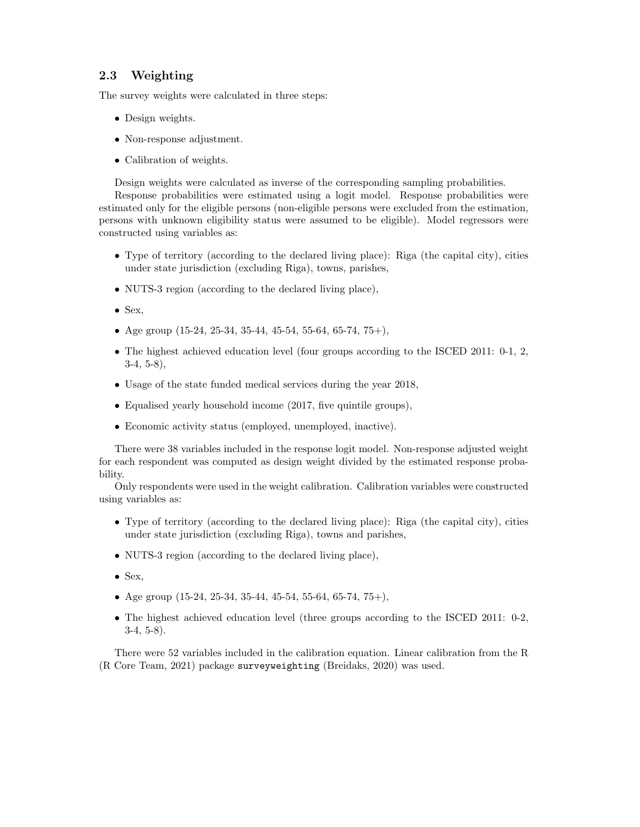### 2.3 Weighting

The survey weights were calculated in three steps:

- Design weights.
- Non-response adjustment.
- Calibration of weights.

Design weights were calculated as inverse of the corresponding sampling probabilities.

Response probabilities were estimated using a logit model. Response probabilities were estimated only for the eligible persons (non-eligible persons were excluded from the estimation, persons with unknown eligibility status were assumed to be eligible). Model regressors were constructed using variables as:

- Type of territory (according to the declared living place): Riga (the capital city), cities under state jurisdiction (excluding Riga), towns, parishes,
- NUTS-3 region (according to the declared living place),
- $\bullet$  Sex,
- Age group  $(15-24, 25-34, 35-44, 45-54, 55-64, 65-74, 75+)$ ,
- The highest achieved education level (four groups according to the ISCED 2011: 0-1, 2, 3-4, 5-8),
- Usage of the state funded medical services during the year 2018,
- Equalised yearly household income (2017, five quintile groups),
- Economic activity status (employed, unemployed, inactive).

There were 38 variables included in the response logit model. Non-response adjusted weight for each respondent was computed as design weight divided by the estimated response probability.

Only respondents were used in the weight calibration. Calibration variables were constructed using variables as:

- Type of territory (according to the declared living place): Riga (the capital city), cities under state jurisdiction (excluding Riga), towns and parishes,
- NUTS-3 region (according to the declared living place),
- Sex,
- Age group (15-24, 25-34, 35-44, 45-54, 55-64, 65-74, 75+),
- The highest achieved education level (three groups according to the ISCED 2011: 0-2, 3-4, 5-8).

There were 52 variables included in the calibration equation. Linear calibration from the R [\(R Core Team, 2021\)](#page-9-3) package surveyweighting [\(Breidaks, 2020\)](#page-9-5) was used.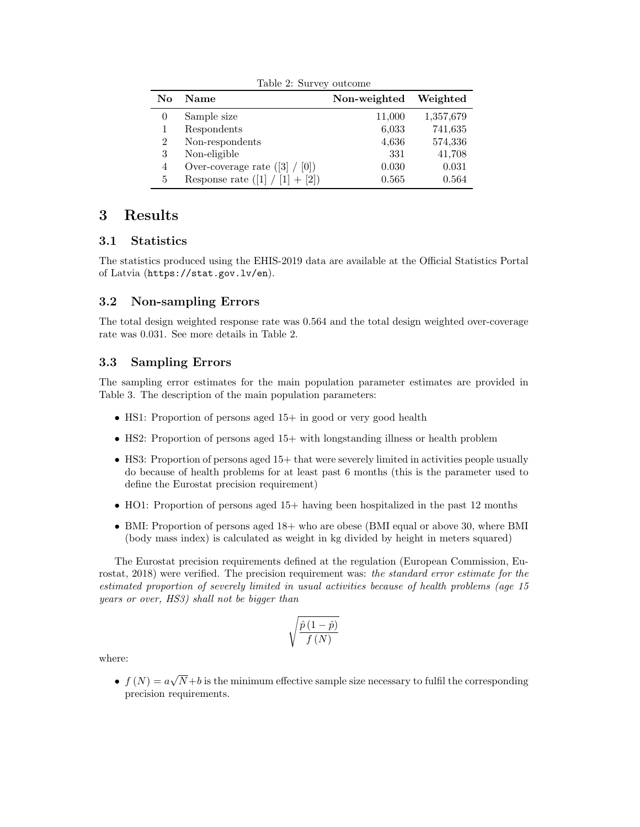<span id="page-7-0"></span>

| Table 2: Survey outcome |                                  |              |           |  |  |
|-------------------------|----------------------------------|--------------|-----------|--|--|
| No                      | <b>Name</b>                      | Non-weighted | Weighted  |  |  |
| $\theta$                | Sample size                      | 11,000       | 1,357,679 |  |  |
|                         | Respondents                      | 6,033        | 741,635   |  |  |
| 2                       | Non-respondents                  | 4,636        | 574,336   |  |  |
| 3                       | Non-eligible                     | 331          | 41,708    |  |  |
| 4                       | Over-coverage rate $([3] / [0])$ | 0.030        | 0.031     |  |  |
| 5                       | Response rate $(1]$              | 0.565        | 0.564     |  |  |

# 3 Results

### 3.1 Statistics

The statistics produced using the EHIS-2019 data are available at the [Official Statistics Portal](https://data.stat.gov.lv/pxweb/en/OSP_OD/OSP_OD__apsekojumi__vesel_ap/?tablelist=true) [of Latvia](https://data.stat.gov.lv/pxweb/en/OSP_OD/OSP_OD__apsekojumi__vesel_ap/?tablelist=true) (<https://stat.gov.lv/en>).

### 3.2 Non-sampling Errors

The total design weighted response rate was 0.564 and the total design weighted over-coverage rate was 0.031. See more details in Table [2.](#page-7-0)

### 3.3 Sampling Errors

The sampling error estimates for the main population parameter estimates are provided in Table [3.](#page-8-0) The description of the main population parameters:

- HS1: Proportion of persons aged 15+ in good or very good health
- HS2: Proportion of persons aged 15+ with longstanding illness or health problem
- HS3: Proportion of persons aged 15+ that were severely limited in activities people usually do because of health problems for at least past 6 months (this is the parameter used to define the Eurostat precision requirement)
- HO1: Proportion of persons aged 15+ having been hospitalized in the past 12 months
- BMI: Proportion of persons aged 18+ who are obese (BMI equal or above 30, where BMI (body mass index) is calculated as weight in kg divided by height in meters squared)

The Eurostat precision requirements defined at the regulation [\(European Commission, Eu](#page-9-0)[rostat, 2018\)](#page-9-0) were verified. The precision requirement was: the standard error estimate for the estimated proportion of severely limited in usual activities because of health problems (age 15 years or over, HS3) shall not be bigger than

$$
\sqrt{\frac{\hat{p}\left(1-\hat{p}\right)}{f\left(N\right)}}
$$

where:

•  $f(N) = a$ √  $N+b$  is the minimum effective sample size necessary to fulfil the corresponding precision requirements.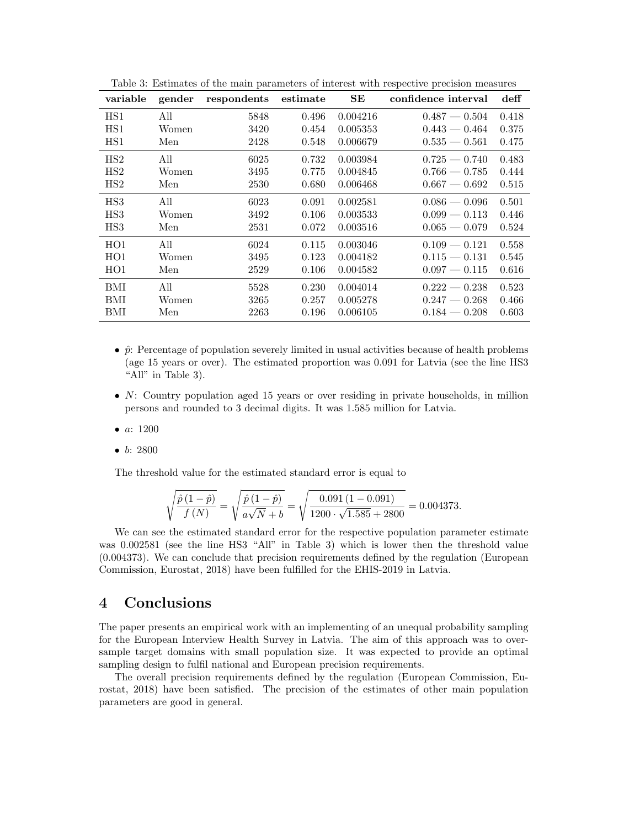| variable        | gender | respondents | estimate | $\rm SE$ | confidence interval | $\operatorname{deff}$ |
|-----------------|--------|-------------|----------|----------|---------------------|-----------------------|
| HS1             | All    | 5848        | 0.496    | 0.004216 | $0.487 - 0.504$     | 0.418                 |
| HS <sub>1</sub> | Women  | 3420        | 0.454    | 0.005353 | $0.443 - 0.464$     | 0.375                 |
| HS1             | Men    | 2428        | 0.548    | 0.006679 | $0.535 - 0.561$     | 0.475                 |
| HS2             | All    | 6025        | 0.732    | 0.003984 | $0.725 - 0.740$     | 0.483                 |
| HS2             | Women  | 3495        | 0.775    | 0.004845 | $0.766 - 0.785$     | 0.444                 |
| HS2             | Men    | 2530        | 0.680    | 0.006468 | $0.667 - 0.692$     | 0.515                 |
| HS <sub>3</sub> | All    | 6023        | 0.091    | 0.002581 | $0.086 - 0.096$     | 0.501                 |
| HS3             | Women  | 3492        | 0.106    | 0.003533 | $0.099 - 0.113$     | 0.446                 |
| HS <sub>3</sub> | Men    | 2531        | 0.072    | 0.003516 | $0.065 - 0.079$     | 0.524                 |
| HO1             | All    | 6024        | 0.115    | 0.003046 | $0.109 - 0.121$     | 0.558                 |
| HO1             | Women  | 3495        | 0.123    | 0.004182 | $0.115 - 0.131$     | 0.545                 |
| HO1             | Men    | 2529        | 0.106    | 0.004582 | $0.097 - 0.115$     | 0.616                 |
| BMI             | All    | 5528        | 0.230    | 0.004014 | $0.222 - 0.238$     | 0.523                 |
| BMI             | Women  | 3265        | 0.257    | 0.005278 | $0.247 - 0.268$     | 0.466                 |
| BMI             | Men    | 2263        | 0.196    | 0.006105 | $0.184 - 0.208$     | 0.603                 |

<span id="page-8-0"></span>Table 3: Estimates of the main parameters of interest with respective precision measures

- $\hat{p}$ : Percentage of population severely limited in usual activities because of health problems (age 15 years or over). The estimated proportion was 0.091 for Latvia (see the line HS3 "All" in Table [3\)](#page-8-0).
- N: Country population aged 15 years or over residing in private households, in million persons and rounded to 3 decimal digits. It was 1.585 million for Latvia.
- *a*: 1200
- $\bullet$  b: 2800

The threshold value for the estimated standard error is equal to

$$
\sqrt{\frac{\hat{p}(1-\hat{p})}{f(N)}} = \sqrt{\frac{\hat{p}(1-\hat{p})}{a\sqrt{N} + b}} = \sqrt{\frac{0.091\,(1-0.091)}{1200\cdot\sqrt{1.585} + 2800}} = 0.004373.
$$

We can see the estimated standard error for the respective population parameter estimate was 0.002581 (see the line HS3 "All" in Table [3\)](#page-8-0) which is lower then the threshold value (0.004373). We can conclude that precision requirements defined by the regulation [\(European](#page-9-0) [Commission, Eurostat, 2018\)](#page-9-0) have been fulfilled for the EHIS-2019 in Latvia.

# 4 Conclusions

The paper presents an empirical work with an implementing of an unequal probability sampling for the European Interview Health Survey in Latvia. The aim of this approach was to oversample target domains with small population size. It was expected to provide an optimal sampling design to fulfil national and European precision requirements.

The overall precision requirements defined by the regulation [\(European Commission, Eu](#page-9-0)[rostat, 2018\)](#page-9-0) have been satisfied. The precision of the estimates of other main population parameters are good in general.